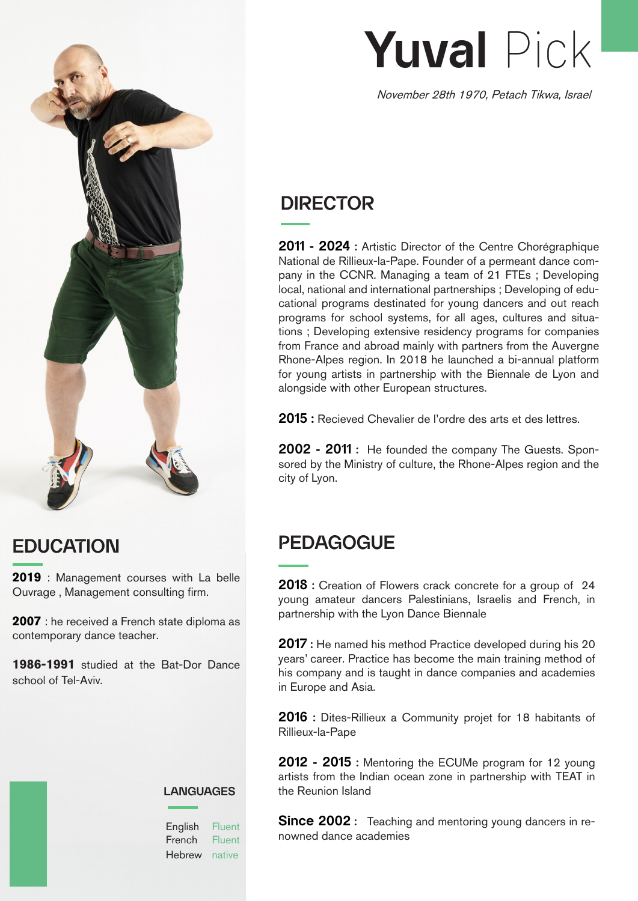

### **EDUCATION**

**2019** : Management courses with La belle Ouvrage , Management consulting firm.

**2007** : he received a French state diploma as contemporary dance teacher.

**1986-1991** studied at the Bat-Dor Dance school of Tel-Aviv.

#### **LANGUAGES**

English Fluent **French** Hebrew native Fluent

# **Yuval** Pick

November 28th 1970, Petach Tikwa, Israel

### **DIRECTOR**

**2011 - 2024 :** Artistic Director of the Centre Chorégraphique National de Rillieux-la-Pape. Founder of a permeant dance company in the CCNR. Managing a team of 21 FTEs ; Developing local, national and international partnerships ; Developing of educational programs destinated for young dancers and out reach programs for school systems, for all ages, cultures and situations ; Developing extensive residency programs for companies from France and abroad mainly with partners from the Auvergne Rhone-Alpes region. In 2018 he launched a bi-annual platform for young artists in partnership with the Biennale de Lyon and alongside with other European structures.

**2015 :** Recieved Chevalier de l'ordre des arts et des lettres.

**2002 - 2011 :** He founded the company The Guests. Sponsored by the Ministry of culture, the Rhone-Alpes region and the city of Lyon.

#### **PEDAGOGUE**

**2018 :** Creation of Flowers crack concrete for a group of 24 young amateur dancers Palestinians, Israelis and French, in partnership with the Lyon Dance Biennale

**2017 :** He named his method Practice developed during his 20 years' career. Practice has become the main training method of his company and is taught in dance companies and academies in Europe and Asia.

**2016 :** Dites-Rillieux a Community projet for 18 habitants of Rillieux-la-Pape

**2012 - 2015 :** Mentoring the ECUMe program for 12 young artists from the Indian ocean zone in partnership with TEAT in the Reunion Island

**Since 2002 :** Teaching and mentoring young dancers in renowned dance academies